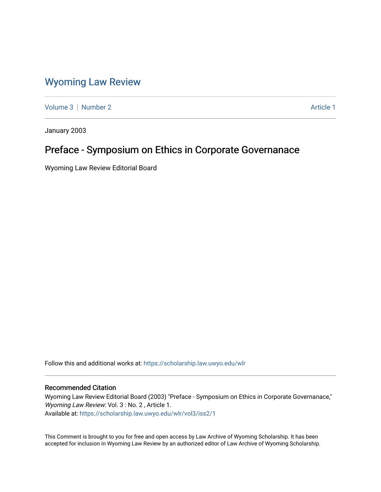## [Wyoming Law Review](https://scholarship.law.uwyo.edu/wlr)

[Volume 3](https://scholarship.law.uwyo.edu/wlr/vol3) [Number 2](https://scholarship.law.uwyo.edu/wlr/vol3/iss2) Article 1

January 2003

## Preface - Symposium on Ethics in Corporate Governanace

Wyoming Law Review Editorial Board

Follow this and additional works at: [https://scholarship.law.uwyo.edu/wlr](https://scholarship.law.uwyo.edu/wlr?utm_source=scholarship.law.uwyo.edu%2Fwlr%2Fvol3%2Fiss2%2F1&utm_medium=PDF&utm_campaign=PDFCoverPages) 

#### Recommended Citation

Wyoming Law Review Editorial Board (2003) "Preface - Symposium on Ethics in Corporate Governanace," Wyoming Law Review: Vol. 3 : No. 2, Article 1. Available at: [https://scholarship.law.uwyo.edu/wlr/vol3/iss2/1](https://scholarship.law.uwyo.edu/wlr/vol3/iss2/1?utm_source=scholarship.law.uwyo.edu%2Fwlr%2Fvol3%2Fiss2%2F1&utm_medium=PDF&utm_campaign=PDFCoverPages) 

This Comment is brought to you for free and open access by Law Archive of Wyoming Scholarship. It has been accepted for inclusion in Wyoming Law Review by an authorized editor of Law Archive of Wyoming Scholarship.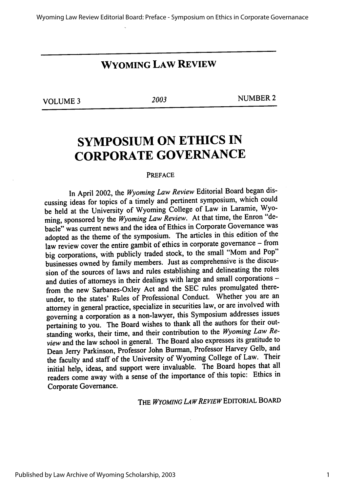### **WYOMING LAW REVIEW**

**VOLUME 3** *2003* **NUMBER 2**

# **SYMPOSIUM ON ETHICS IN CORPORATE GOVERNANCE**

#### PREFACE

In April 2002, the *Wyoming Law Review* Editorial Board began discussing ideas for topics of a timely and pertinent symposium, which could be held at the University of Wyoming College of Law in Laramie, Wyoming, sponsored **by** the *Wyoming Law Review.* At that time, the Enron "debacle" was current news and the idea of Ethics in Corporate Governance was adopted as the theme of the symposium. The articles in this edition of the law review cover the entire gambit of ethics in corporate governance - from big corporations, with publicly traded stock, to the small "Mom and Pop" businesses owned **by** family members. Just as comprehensive is the discussion of the sources of laws and rules establishing and delineating the roles and duties of attorneys in their dealings with large and small corporations from the new Sarbanes-Oxley Act and the SEC rules promulgated thereunder, to the states' Rules of Professional Conduct. Whether you are an attorney in general practice, specialize in securities law, or are involved with governing a corporation as a non-lawyer, this Symposium addresses issues pertaining to you. The Board wishes to thank all the authors for their outstanding works, their time, and their contribution to the *Wyoming Law Review* and the law school in general. The Board also expresses its gratitude to Dean Jerry Parkinson, Professor John Burman, Professor Harvey Gelb, and the faculty and staff of the University of Wyoming College of Law. Their initial help, ideas, and support were invaluable. The Board hopes that all readers come away with a sense of the importance of this topic: Ethics in Corporate Governance.

THE WYOMING LAW REVIEW EDITORIAL BOARD